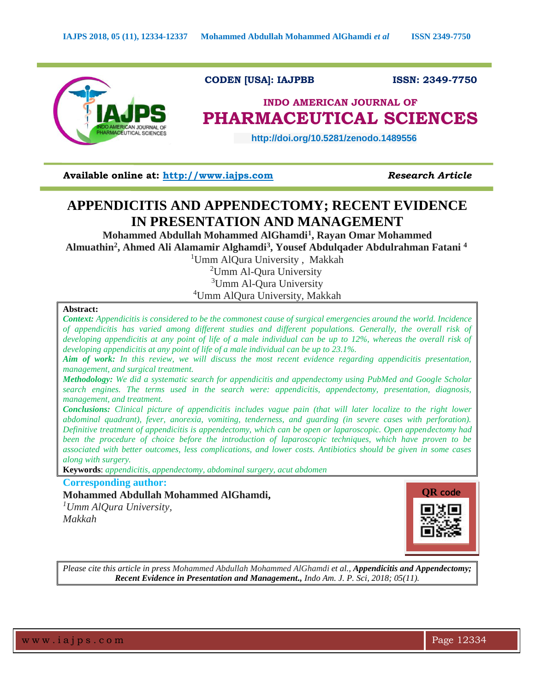

**Available online at: [http://www.iajps.com](http://www.iajps.com/)** *Research Article*

# **APPENDICITIS AND APPENDECTOMY; RECENT EVIDENCE IN PRESENTATION AND MANAGEMENT**

**Mohammed Abdullah Mohammed AlGhamdi<sup>1</sup> , Rayan Omar Mohammed Almuathin<sup>2</sup> , Ahmed Ali Alamamir Alghamdi<sup>3</sup> , Yousef Abdulqader Abdulrahman Fatani <sup>4</sup>**

<sup>1</sup>Umm AlQura University, Makkah

<sup>2</sup>Umm Al-Oura University <sup>3</sup>Umm Al-Qura University

<sup>4</sup>Umm AlQura University, Makkah

#### **Abstract:**

*Context: Appendicitis is considered to be the commonest cause of surgical emergencies around the world. Incidence of appendicitis has varied among different studies and different populations. Generally, the overall risk of developing appendicitis at any point of life of a male individual can be up to 12%, whereas the overall risk of developing appendicitis at any point of life of a male individual can be up to 23.1%.*

*Aim of work: In this review, we will discuss the most recent evidence regarding appendicitis presentation, management, and surgical treatment.*

*Methodology: We did a systematic search for appendicitis and appendectomy using PubMed and Google Scholar search engines. The terms used in the search were: appendicitis, appendectomy, presentation, diagnosis, management, and treatment.* 

*Conclusions: Clinical picture of appendicitis includes vague pain (that will later localize to the right lower abdominal quadrant), fever, anorexia, vomiting, tenderness, and guarding (in severe cases with perforation). Definitive treatment of appendicitis is appendectomy, which can be open or laparoscopic. Open appendectomy had been the procedure of choice before the introduction of laparoscopic techniques, which have proven to be associated with better outcomes, less complications, and lower costs. Antibiotics should be given in some cases along with surgery.*

**Keywords**: *appendicitis, appendectomy, abdominal surgery, acut abdomen*

## **Corresponding author: Mohammed Abdullah Mohammed AlGhamdi,**

*<sup>1</sup>Umm AlQura University, Makkah*



*Please cite this article in press Mohammed Abdullah Mohammed AlGhamdi et al., Appendicitis and Appendectomy; Recent Evidence in Presentation and Management., Indo Am. J. P. Sci, 2018; 05(11).*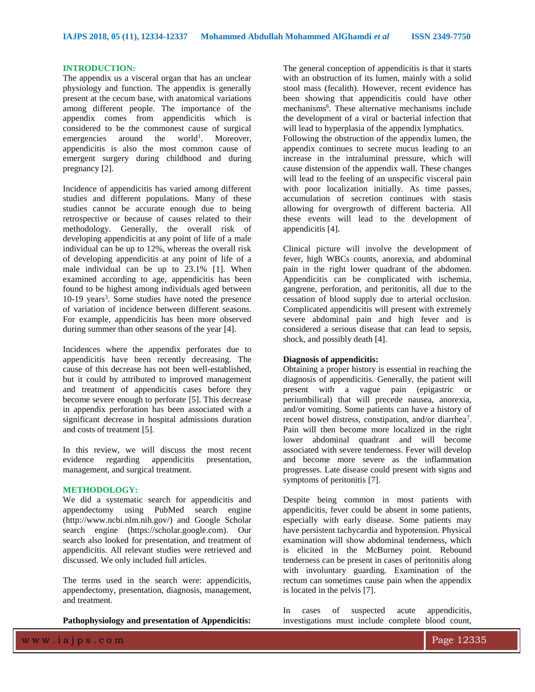#### **INTRODUCTION:**

The appendix us a visceral organ that has an unclear physiology and function. The appendix is generally present at the cecum base, with anatomical variations among different people. The importance of the appendix comes from appendicitis which is considered to be the commonest cause of surgical emergencies around the world<sup>1</sup>. Moreover, appendicitis is also the most common cause of emergent surgery during childhood and during pregnancy [2].

Incidence of appendicitis has varied among different studies and different populations. Many of these studies cannot be accurate enough due to being retrospective or because of causes related to their methodology. Generally, the overall risk of developing appendicitis at any point of life of a male individual can be up to 12%, whereas the overall risk of developing appendicitis at any point of life of a male individual can be up to 23.1% [1]. When examined according to age, appendicitis has been found to be highest among individuals aged between  $10-19$  years<sup>3</sup>. Some studies have noted the presence of variation of incidence between different seasons. For example, appendicitis has been more observed during summer than other seasons of the year [4].

Incidences where the appendix perforates due to appendicitis have been recently decreasing. The cause of this decrease has not been well-established, but it could by attributed to improved management and treatment of appendicitis cases before they become severe enough to perforate [5]. This decrease in appendix perforation has been associated with a significant decrease in hospital admissions duration and costs of treatment [5].

In this review, we will discuss the most recent evidence regarding appendicitis presentation, management, and surgical treatment.

### **METHODOLOGY:**

We did a systematic search for appendicitis and appendectomy using PubMed search engine (http://www.ncbi.nlm.nih.gov/) and Google Scholar search engine (https://scholar.google.com). Our search also looked for presentation, and treatment of appendicitis. All relevant studies were retrieved and discussed. We only included full articles.

The terms used in the search were: appendicitis, appendectomy, presentation, diagnosis, management, and treatment.

**Pathophysiology and presentation of Appendicitis:**

The general conception of appendicitis is that it starts with an obstruction of its lumen, mainly with a solid stool mass (fecalith). However, recent evidence has been showing that appendicitis could have other mechanisms<sup>6</sup>. These alternative mechanisms include the development of a viral or bacterial infection that will lead to hyperplasia of the appendix lymphatics. Following the obstruction of the appendix lumen, the appendix continues to secrete mucus leading to an increase in the intraluminal pressure, which will cause distension of the appendix wall. These changes will lead to the feeling of an unspecific visceral pain with poor localization initially. As time passes, accumulation of secretion continues with stasis allowing for overgrowth of different bacteria. All these events will lead to the development of appendicitis [4].

Clinical picture will involve the development of fever, high WBCs counts, anorexia, and abdominal pain in the right lower quadrant of the abdomen. Appendicitis can be complicated with ischemia, gangrene, perforation, and peritonitis, all due to the cessation of blood supply due to arterial occlusion. Complicated appendicitis will present with extremely severe abdominal pain and high fever and is considered a serious disease that can lead to sepsis, shock, and possibly death [4].

#### **Diagnosis of appendicitis:**

Obtaining a proper history is essential in reaching the diagnosis of appendicitis. Generally, the patient will present with a vague pain (epigastric or periumbilical) that will precede nausea, anorexia, and/or vomiting. Some patients can have a history of recent bowel distress, constipation, and/or diarrhea<sup>7</sup>. Pain will then become more localized in the right lower abdominal quadrant and will become associated with severe tenderness. Fever will develop and become more severe as the inflammation progresses. Late disease could present with signs and symptoms of peritonitis [7].

Despite being common in most patients with appendicitis, fever could be absent in some patients, especially with early disease. Some patients may have persistent tachycardia and hypotension. Physical examination will show abdominal tenderness, which is elicited in the McBurney point. Rebound tenderness can be present in cases of peritonitis along with involuntary guarding. Examination of the rectum can sometimes cause pain when the appendix is located in the pelvis [7].

In cases of suspected acute appendicitis, investigations must include complete blood count,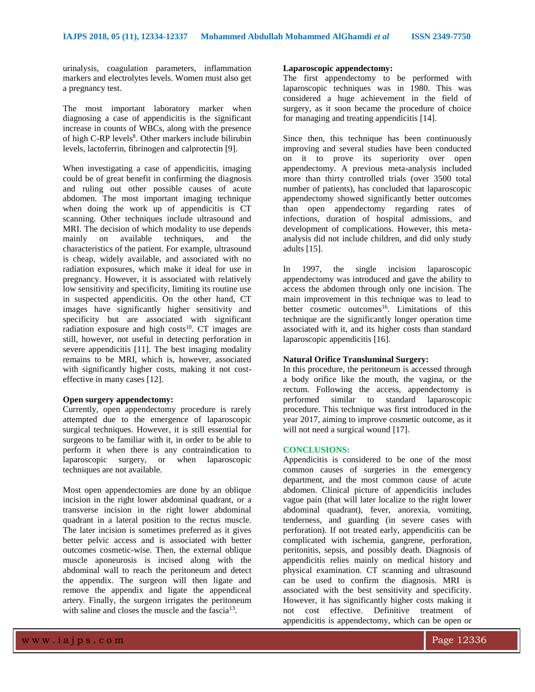urinalysis, coagulation parameters, inflammation markers and electrolytes levels. Women must also get a pregnancy test.

The most important laboratory marker when diagnosing a case of appendicitis is the significant increase in counts of WBCs, along with the presence of high C-RP levels<sup>8</sup>. Other markers include bilirubin levels, lactoferrin, fibrinogen and calprotectin [9].

When investigating a case of appendicitis, imaging could be of great benefit in confirming the diagnosis and ruling out other possible causes of acute abdomen. The most important imaging technique when doing the work up of appendicitis is CT scanning. Other techniques include ultrasound and MRI. The decision of which modality to use depends mainly on available techniques, and the characteristics of the patient. For example, ultrasound is cheap, widely available, and associated with no radiation exposures, which make it ideal for use in pregnancy. However, it is associated with relatively low sensitivity and specificity, limiting its routine use in suspected appendicitis. On the other hand, CT images have significantly higher sensitivity and specificity but are associated with significant radiation exposure and high  $costs^{10}$ . CT images are still, however, not useful in detecting perforation in severe appendicitis [11]. The best imaging modality remains to be MRI, which is, however, associated with significantly higher costs, making it not costeffective in many cases [12].

#### **Open surgery appendectomy:**

Currently, open appendectomy procedure is rarely attempted due to the emergence of laparoscopic surgical techniques. However, it is still essential for surgeons to be familiar with it, in order to be able to perform it when there is any contraindication to laparoscopic surgery, or when laparoscopic techniques are not available.

Most open appendectomies are done by an oblique incision in the right lower abdominal quadrant, or a transverse incision in the right lower abdominal quadrant in a lateral position to the rectus muscle. The later incision is sometimes preferred as it gives better pelvic access and is associated with better outcomes cosmetic-wise. Then, the external oblique muscle aponeurosis is incised along with the abdominal wall to reach the peritoneum and detect the appendix. The surgeon will then ligate and remove the appendix and ligate the appendiceal artery. Finally, the surgeon irrigates the peritoneum with saline and closes the muscle and the fascia<sup>13</sup>.

#### **Laparoscopic appendectomy:**

The first appendectomy to be performed with laparoscopic techniques was in 1980. This was considered a huge achievement in the field of surgery, as it soon became the procedure of choice for managing and treating appendicitis [14].

Since then, this technique has been continuously improving and several studies have been conducted on it to prove its superiority over open appendectomy. A previous meta-analysis included more than thirty controlled trials (over 3500 total number of patients), has concluded that laparoscopic appendectomy showed significantly better outcomes than open appendectomy regarding rates of infections, duration of hospital admissions, and development of complications. However, this metaanalysis did not include children, and did only study adults [15].

In 1997, the single incision laparoscopic appendectomy was introduced and gave the ability to access the abdomen through only one incision. The main improvement in this technique was to lead to better cosmetic outcomes<sup>16</sup>. Limitations of this technique are the significantly longer operation time associated with it, and its higher costs than standard laparoscopic appendicitis [16].

#### **Natural Orifice Transluminal Surgery:**

In this procedure, the peritoneum is accessed through a body orifice like the mouth, the vagina, or the rectum. Following the access, appendectomy is performed similar to standard laparoscopic procedure. This technique was first introduced in the year 2017, aiming to improve cosmetic outcome, as it will not need a surgical wound [17].

#### **CONCLUSIONS:**

Appendicitis is considered to be one of the most common causes of surgeries in the emergency department, and the most common cause of acute abdomen. Clinical picture of appendicitis includes vague pain (that will later localize to the right lower abdominal quadrant), fever, anorexia, vomiting, tenderness, and guarding (in severe cases with perforation). If not treated early, appendicitis can be complicated with ischemia, gangrene, perforation, peritonitis, sepsis, and possibly death. Diagnosis of appendicitis relies mainly on medical history and physical examination. CT scanning and ultrasound can be used to confirm the diagnosis. MRI is associated with the best sensitivity and specificity. However, it has significantly higher costs making it not cost effective. Definitive treatment of appendicitis is appendectomy, which can be open or